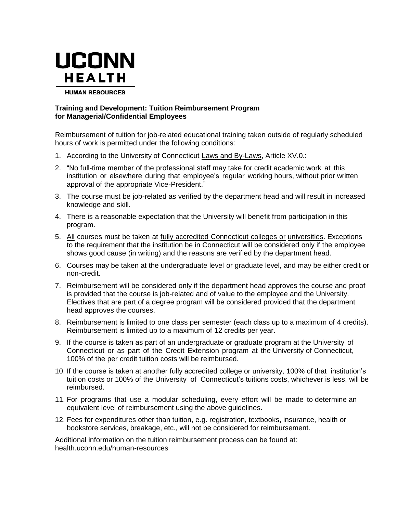

# **Training and Development: Tuition Reimbursement Program for Managerial/Confidential Employees**

Reimbursement of tuition for job-related educational training taken outside of regularly scheduled hours of work is permitted under the following conditions:

- 1. According to the University of Connecticut Laws and By-Laws, Article XV.0.:
- 2. "No full-time member of the professional staff may take for credit academic work at this institution or elsewhere during that employee's regular working hours, without prior written approval of the appropriate Vice-President."
- 3. The course must be job-related as verified by the department head and will result in increased knowledge and skill.
- 4. There is a reasonable expectation that the University will benefit from participation in this program.
- 5. All courses must be taken at fully accredited Connecticut colleges or universities. Exceptions to the requirement that the institution be in Connecticut will be considered only if the employee shows good cause (in writing) and the reasons are verified by the department head.
- 6. Courses may be taken at the undergraduate level or graduate level, and may be either credit or non-credit.
- 7. Reimbursement will be considered only if the department head approves the course and proof is provided that the course is job-related and of value to the employee and the University. Electives that are part of a degree program will be considered provided that the department head approves the courses.
- 8. Reimbursement is limited to one class per semester (each class up to a maximum of 4 credits). Reimbursement is limited up to a maximum of 12 credits per year.
- 9. If the course is taken as part of an undergraduate or graduate program at the University of Connecticut or as part of the Credit Extension program at the University of Connecticut, 100% of the per credit tuition costs will be reimbursed.
- 10. If the course is taken at another fully accredited college or university, 100% of that institution's tuition costs or 100% of the University of Connecticut's tuitions costs, whichever is less, will be reimbursed.
- 11. For programs that use a modular scheduling, every effort will be made to determine an equivalent level of reimbursement using the above guidelines.
- 12. Fees for expenditures other than tuition, e.g. registration, textbooks, insurance, health or bookstore services, breakage, etc., will not be considered for reimbursement.

Additional information on the tuition reimbursement process can be found at: health.uconn.edu/human-resources